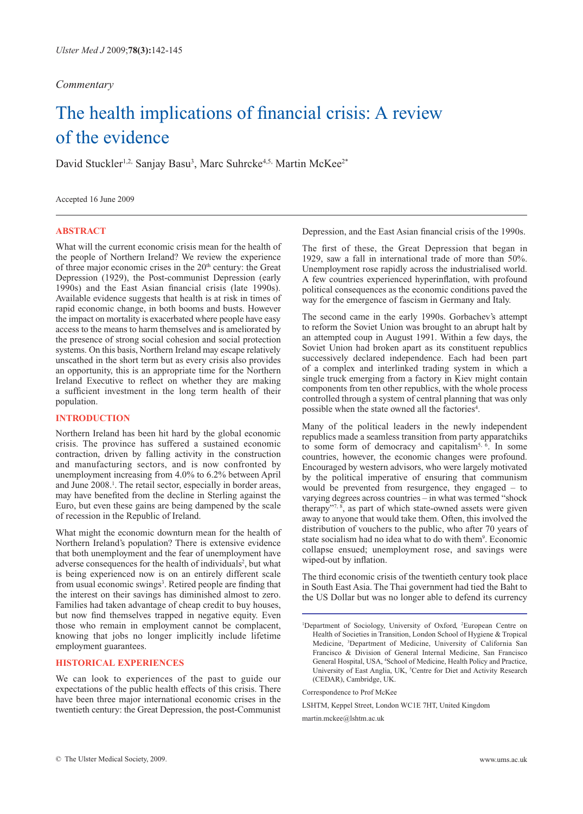# *Commentary*

# The health implications of financial crisis: A review of the evidence

David Stuckler<sup>1,2,</sup> Sanjay Basu<sup>3</sup>, Marc Suhrcke<sup>4,5,</sup> Martin McKee<sup>2\*</sup>

Accepted 16 June 2009

#### **ABSTRACT**

What will the current economic crisis mean for the health of the people of Northern Ireland? We review the experience of three major economic crises in the  $20<sup>th</sup>$  century: the Great Depression (1929), the Post-communist Depression (early 1990s) and the East Asian financial crisis (late 1990s). Available evidence suggests that health is at risk in times of rapid economic change, in both booms and busts. However the impact on mortality is exacerbated where people have easy access to the means to harm themselves and is ameliorated by the presence of strong social cohesion and social protection systems. On this basis, Northern Ireland may escape relatively unscathed in the short term but as every crisis also provides an opportunity, this is an appropriate time for the Northern Ireland Executive to reflect on whether they are making a sufficient investment in the long term health of their population.

### **INTRODUCTION**

Northern Ireland has been hit hard by the global economic crisis. The province has suffered a sustained economic contraction, driven by falling activity in the construction and manufacturing sectors, and is now confronted by unemployment increasing from 4.0% to 6.2% between April and June 2008.<sup>1</sup>. The retail sector, especially in border areas, may have benefited from the decline in Sterling against the Euro, but even these gains are being dampened by the scale of recession in the Republic of Ireland.

What might the economic downturn mean for the health of Northern Ireland's population? There is extensive evidence that both unemployment and the fear of unemployment have adverse consequences for the health of individuals<sup>2</sup>, but what is being experienced now is on an entirely different scale from usual economic swings<sup>3</sup>. Retired people are finding that the interest on their savings has diminished almost to zero. Families had taken advantage of cheap credit to buy houses, but now find themselves trapped in negative equity. Even those who remain in employment cannot be complacent, knowing that jobs no longer implicitly include lifetime employment guarantees.

## **HISTORICAL EXPERIENCES**

We can look to experiences of the past to guide our expectations of the public health effects of this crisis. There have been three major international economic crises in the twentieth century: the Great Depression, the post-Communist

Depression, and the East Asian financial crisis of the 1990s.

The first of these, the Great Depression that began in 1929, saw a fall in international trade of more than 50%. Unemployment rose rapidly across the industrialised world. A few countries experienced hyperinflation, with profound political consequences as the economic conditions paved the way for the emergence of fascism in Germany and Italy.

The second came in the early 1990s. Gorbachev's attempt to reform the Soviet Union was brought to an abrupt halt by an attempted coup in August 1991. Within a few days, the Soviet Union had broken apart as its constituent republics successively declared independence. Each had been part of a complex and interlinked trading system in which a single truck emerging from a factory in Kiev might contain components from ten other republics, with the whole process controlled through a system of central planning that was only possible when the state owned all the factories<sup>4</sup>.

Many of the political leaders in the newly independent republics made a seamless transition from party apparatchiks to some form of democracy and capitalism<sup>5, 6</sup>. In some countries, however, the economic changes were profound. Encouraged by western advisors, who were largely motivated by the political imperative of ensuring that communism would be prevented from resurgence, they engaged – to varying degrees across countries – in what was termed "shock therapy"<sup>7, 8</sup>, as part of which state-owned assets were given away to anyone that would take them. Often, this involved the distribution of vouchers to the public, who after 70 years of state socialism had no idea what to do with them<sup>9</sup>. Economic collapse ensued; unemployment rose, and savings were wiped-out by inflation.

The third economic crisis of the twentieth century took place in South East Asia. The Thai government had tied the Baht to the US Dollar but was no longer able to defend its currency

Correspondence to Prof McKee

LSHTM, Keppel Street, London WC1E 7HT, United Kingdom

martin.mckee@lshtm.ac.uk

<sup>&</sup>lt;sup>1</sup>Department of Sociology, University of Oxford, <sup>2</sup>European Centre on Health of Societies in Transition, London School of Hygiene & Tropical Medicine, 3 Department of Medicine, University of California San Francisco & Division of General Internal Medicine, San Francisco General Hospital, USA, <sup>4</sup>School of Medicine, Health Policy and Practice, University of East Anglia, UK, <sup>5</sup>Centre for Diet and Activity Research (CEDAR), Cambridge, UK.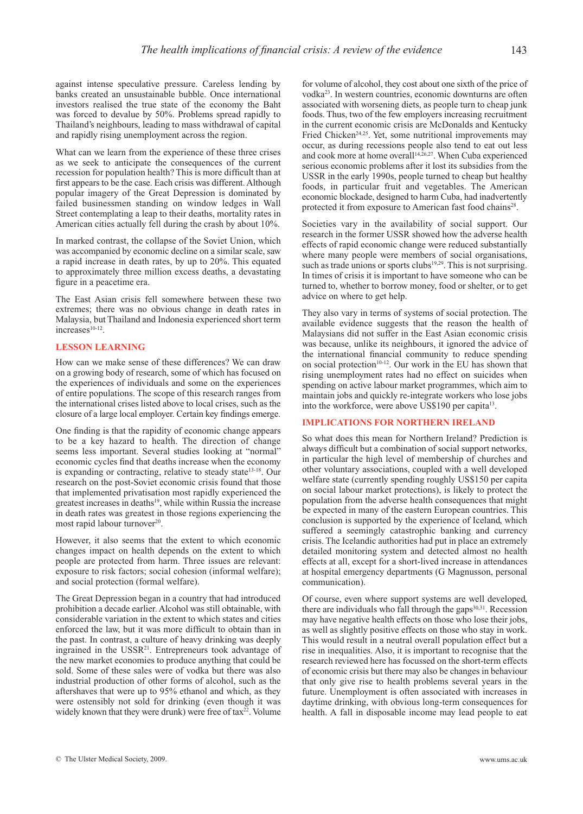against intense speculative pressure. Careless lending by banks created an unsustainable bubble. Once international investors realised the true state of the economy the Baht was forced to devalue by 50%. Problems spread rapidly to Thailand's neighbours, leading to mass withdrawal of capital and rapidly rising unemployment across the region.

What can we learn from the experience of these three crises as we seek to anticipate the consequences of the current recession for population health? This is more difficult than at first appears to be the case. Each crisis was different. Although popular imagery of the Great Depression is dominated by failed businessmen standing on window ledges in Wall Street contemplating a leap to their deaths, mortality rates in American cities actually fell during the crash by about 10%.

In marked contrast, the collapse of the Soviet Union, which was accompanied by economic decline on a similar scale, saw a rapid increase in death rates, by up to 20%. This equated to approximately three million excess deaths, a devastating figure in a peacetime era.

The East Asian crisis fell somewhere between these two extremes; there was no obvious change in death rates in Malaysia, but Thailand and Indonesia experienced short term  $increases^{10-12}$ .

## **LESSON LEARNING**

How can we make sense of these differences? We can draw on a growing body of research, some of which has focused on the experiences of individuals and some on the experiences of entire populations. The scope of this research ranges from the international crises listed above to local crises, such as the closure of a large local employer. Certain key findings emerge.

One finding is that the rapidity of economic change appears to be a key hazard to health. The direction of change seems less important. Several studies looking at "normal" economic cycles find that deaths increase when the economy is expanding or contracting, relative to steady state<sup>13-18</sup>. Our research on the post-Soviet economic crisis found that those that implemented privatisation most rapidly experienced the greatest increases in deaths<sup>19</sup>, while within Russia the increase in death rates was greatest in those regions experiencing the most rapid labour turnover<sup>20</sup>.

However, it also seems that the extent to which economic changes impact on health depends on the extent to which people are protected from harm. Three issues are relevant: exposure to risk factors; social cohesion (informal welfare); and social protection (formal welfare).

The Great Depression began in a country that had introduced prohibition a decade earlier. Alcohol was still obtainable, with considerable variation in the extent to which states and cities enforced the law, but it was more difficult to obtain than in the past. In contrast, a culture of heavy drinking was deeply ingrained in the USSR21. Entrepreneurs took advantage of the new market economies to produce anything that could be sold. Some of these sales were of vodka but there was also industrial production of other forms of alcohol, such as the aftershaves that were up to 95% ethanol and which, as they were ostensibly not sold for drinking (even though it was widely known that they were drunk) were free of tax<sup>22</sup>. Volume

for volume of alcohol, they cost about one sixth of the price of vodka23. In western countries, economic downturns are often associated with worsening diets, as people turn to cheap junk foods. Thus, two of the few employers increasing recruitment in the current economic crisis are McDonalds and Kentucky Fried Chicken<sup>24,25</sup>. Yet, some nutritional improvements may occur, as during recessions people also tend to eat out less and cook more at home overall<sup>14,26,27</sup>. When Cuba experienced serious economic problems after it lost its subsidies from the USSR in the early 1990s, people turned to cheap but healthy foods, in particular fruit and vegetables. The American economic blockade, designed to harm Cuba, had inadvertently protected it from exposure to American fast food chains<sup>28</sup>.

Societies vary in the availability of social support. Our research in the former USSR showed how the adverse health effects of rapid economic change were reduced substantially where many people were members of social organisations, such as trade unions or sports clubs<sup>19,29</sup>. This is not surprising. In times of crisis it is important to have someone who can be turned to, whether to borrow money, food or shelter, or to get advice on where to get help.

They also vary in terms of systems of social protection. The available evidence suggests that the reason the health of Malaysians did not suffer in the East Asian economic crisis was because, unlike its neighbours, it ignored the advice of the international financial community to reduce spending on social protection<sup>10-12</sup>. Our work in the EU has shown that rising unemployment rates had no effect on suicides when spending on active labour market programmes, which aim to maintain jobs and quickly re-integrate workers who lose jobs into the workforce, were above US\$190 per capita<sup>13</sup>.

# **IMPLICATIONS FOR NORTHERN IRELAND**

So what does this mean for Northern Ireland? Prediction is always difficult but a combination of social support networks, in particular the high level of membership of churches and other voluntary associations, coupled with a well developed welfare state (currently spending roughly US\$150 per capita on social labour market protections), is likely to protect the population from the adverse health consequences that might be expected in many of the eastern European countries. This conclusion is supported by the experience of Iceland, which suffered a seemingly catastrophic banking and currency crisis. The Icelandic authorities had put in place an extremely detailed monitoring system and detected almost no health effects at all, except for a short-lived increase in attendances at hospital emergency departments (G Magnusson, personal communication).

Of course, even where support systems are well developed, there are individuals who fall through the gaps<sup>30,31</sup>. Recession may have negative health effects on those who lose their jobs, as well as slightly positive effects on those who stay in work. This would result in a neutral overall population effect but a rise in inequalities. Also, it is important to recognise that the research reviewed here has focussed on the short-term effects of economic crisis but there may also be changes in behaviour that only give rise to health problems several years in the future. Unemployment is often associated with increases in daytime drinking, with obvious long-term consequences for health. A fall in disposable income may lead people to eat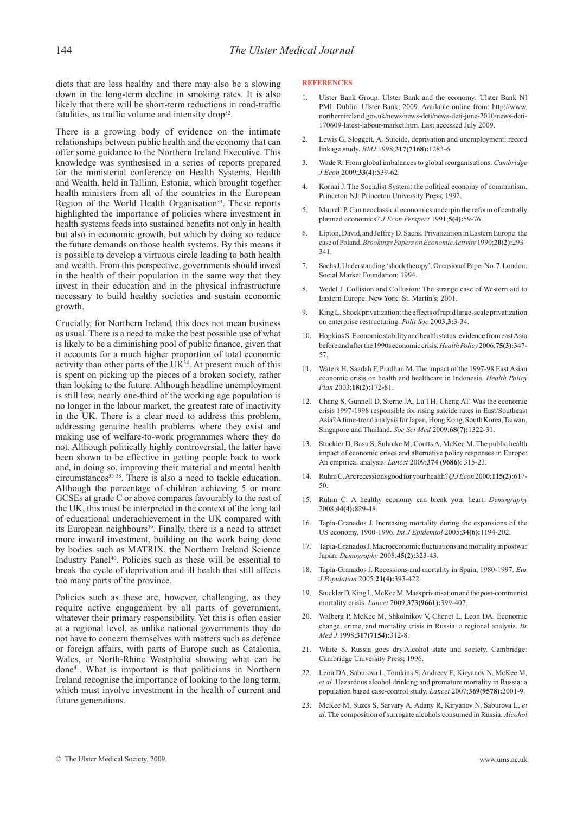diets that are less healthy and there may also be a slowing down in the long-term decline in smoking rates. It is also likely that there will be short-term reductions in road-traffic fatalities, as traffic volume and intensity drop<sup>32</sup>.

There is a growing body of evidence on the intimate relationships between public health and the economy that can offer some guidance to the Northern Ireland Executive. This knowledge was synthesised in a series of reports prepared for the ministerial conference on Health Systems, Health and Wealth, held in Tallinn, Estonia, which brought together health ministers from all of the countries in the European Region of the World Health Organisation<sup>33</sup>. These reports highlighted the importance of policies where investment in health systems feeds into sustained benefits not only in health but also in economic growth, but which by doing so reduce the future demands on those health systems. By this means it is possible to develop a virtuous circle leading to both health and wealth. From this perspective, governments should invest in the health of their population in the same way that they invest in their education and in the physical infrastructure necessary to build healthy societies and sustain economic growth.

Crucially, for Northern Ireland, this does not mean business as usual. There is a need to make the best possible use of what is likely to be a diminishing pool of public finance, given that it accounts for a much higher proportion of total economic activity than other parts of the  $\overline{UK}^{34}$ . At present much of this is spent on picking up the pieces of a broken society, rather than looking to the future. Although headline unemployment is still low, nearly one-third of the working age population is no longer in the labour market, the greatest rate of inactivity in the UK. There is a clear need to address this problem, addressing genuine health problems where they exist and making use of welfare-to-work programmes where they do not. Although politically highly controversial, the latter have been shown to be effective in getting people back to work and, in doing so, improving their material and mental health circumstances35-38. There is also a need to tackle education. Although the percentage of children achieving 5 or more GCSEs at grade C or above compares favourably to the rest of the UK, this must be interpreted in the context of the long tail of educational underachievement in the UK compared with its European neighbours<sup>39</sup>. Finally, there is a need to attract more inward investment, building on the work being done by bodies such as MATRIX, the Northern Ireland Science Industry Panel40. Policies such as these will be essential to break the cycle of deprivation and ill health that still affects too many parts of the province.

Policies such as these are, however, challenging, as they require active engagement by all parts of government, whatever their primary responsibility. Yet this is often easier at a regional level, as unlike national governments they do not have to concern themselves with matters such as defence or foreign affairs, with parts of Europe such as Catalonia, Wales, or North-Rhine Westphalia showing what can be done41. What is important is that politicians in Northern Ireland recognise the importance of looking to the long term, which must involve investment in the health of current and future generations.

#### **REFERENCES**

- 1. Ulster Bank Group. Ulster Bank and the economy: Ulster Bank NI PMI. Dublin: Ulster Bank; 2009. Available online from: http://www. northernireland.gov.uk/news/news-deti/news-deti-june-2010/news-deti-170609-latest-labour-market.htm. Last accessed July 2009.
- 2. Lewis G, Sloggett, A. Suicide, deprivation and unemployment: record linkage study. *BMJ* 1998;**317(7168):**1283-6.
- 3. Wade R. From global imbalances to global reorganisations. *Cambridge J Econ* 2009;**33(4)**:539-62.
- 4. Kornai J. The Socialist System: the political economy of communism. Princeton NJ: Princeton University Press; 1992.
- 5. Murrell P. Can neoclassical economics underpin the reform of centrally planned economics? *J Econ Perspect* 1991;**5(4):**59-76.
- 6. Lipton, David, and Jeffrey D. Sachs. Privatization in Eastern Europe: the case of Poland. *Brookings Papers on Economic Activity* 1990;**20(2):**293– 341.
- 7. Sachs J. Understanding 'shock therapy'. Occasional Paper No. 7. London: Social Market Foundation; 1994.
- 8. Wedel J. Collision and Collusion: The strange case of Western aid to Eastern Europe. New York: St. Martin's; 2001.
- 9. King L. Shock privatization: the effects of rapid large-scale privatization on enterprise restructuring. *Polit Soc* 2003;**3:**3-34.
- 10. Hopkins S. Economic stability and health status: evidence from east Asia before and after the 1990s economic crisis. *Health Policy* 2006;**75(3):**347- 57.
- 11. Waters H, Saadah F, Pradhan M. The impact of the 1997-98 East Asian economic crisis on health and healthcare in Indonesia. *Health Policy Plan* 2003;**18(2):**172-81.
- 12. Chang S, Gunnell D, Sterne JA, Lu TH, Cheng AT. Was the economic crisis 1997-1998 responsible for rising suicide rates in East/Southeast Asia? A time-trend analysis for Japan, Hong Kong, South Korea, Taiwan, Singapore and Thailand. *Soc Sci Med* 2009;**68(7):**1322-31.
- 13. Stuckler D, Basu S, Suhrcke M, Coutts A, McKee M. The public health impact of economic crises and alternative policy responses in Europe: An empirical analysis. *Lancet* 2009;**374 (9686)**: 315-23.
- 14. Ruhm C. Are recessions good for your health? *Q J Econ* 2000;**115(2):**617- 50.
- 15. Ruhm C. A healthy economy can break your heart. *Demography* 2008;**44(4):**829-48.
- 16. Tapia-Granados J. Increasing mortality during the expansions of the US economy, 1900-1996. *Int J Epidemiol* 2005;**34(6):**1194-202.
- 17. Tapia-Granados J. Macroeconomic fluctuations and mortality in postwar Japan. *Demography* 2008;**45(2):**323-43.
- 18. Tapia-Granados J. Recessions and mortality in Spain, 1980-1997. *Eur J Population* 2005;**21(4):**393-422.
- 19. Stuckler D, King L, McKee M. Mass privatisation and the post-communist mortality crisis. *Lancet* 2009;**373(9661):**399-407.
- 20. Walberg P, McKee M, Shkolnikov V, Chenet L, Leon DA. Economic change, crime, and mortality crisis in Russia: a regional analysis. *Br Med J* 1998;**317(7154):**312-8.
- 21. White S. Russia goes dry.Alcohol state and society. Cambridge: Cambridge University Press; 1996.
- 22. Leon DA, Saburova L, Tomkins S, Andreev E, Kiryanov N, McKee M, *et al.* Hazardous alcohol drinking and premature mortality in Russia: a population based case-control study. *Lancet* 2007;**369(9578):**2001-9.
- 23. McKee M, Suzcs S, Sarvary A, Adany R, Kiryanov N, Saburova L, *et al*. The composition of surrogate alcohols consumed in Russia. *Alcohol*